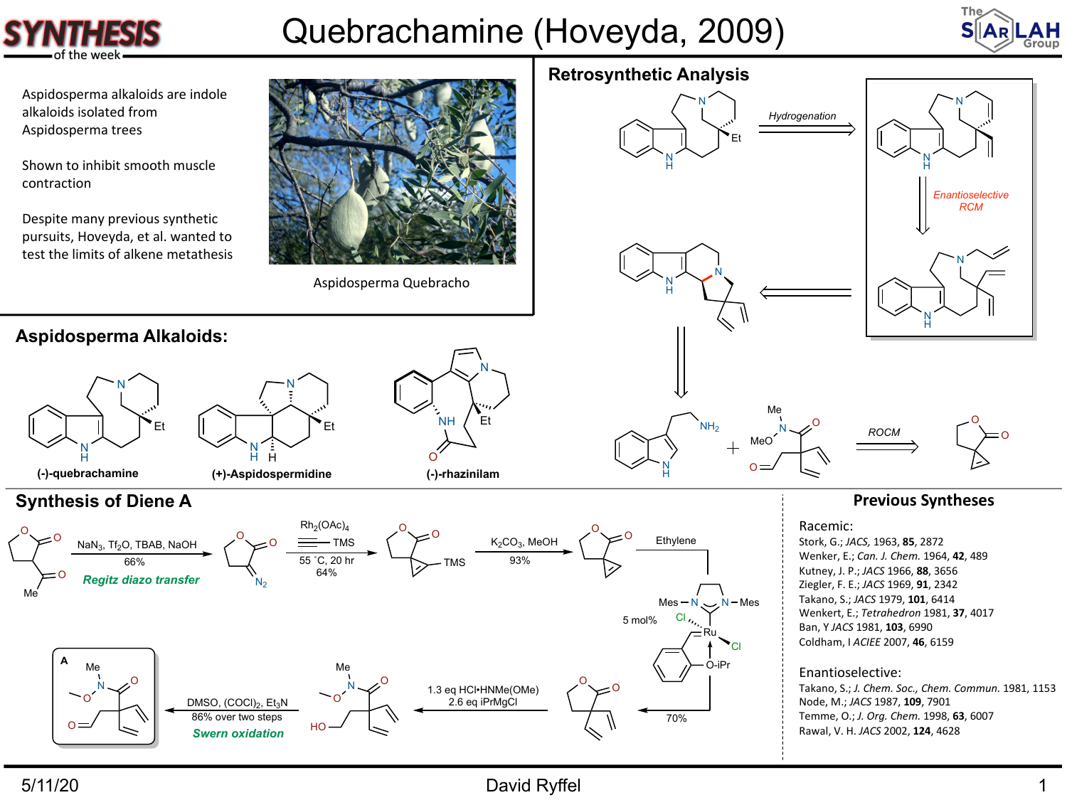

## Quebrachamine (Hoveyda, 2009)



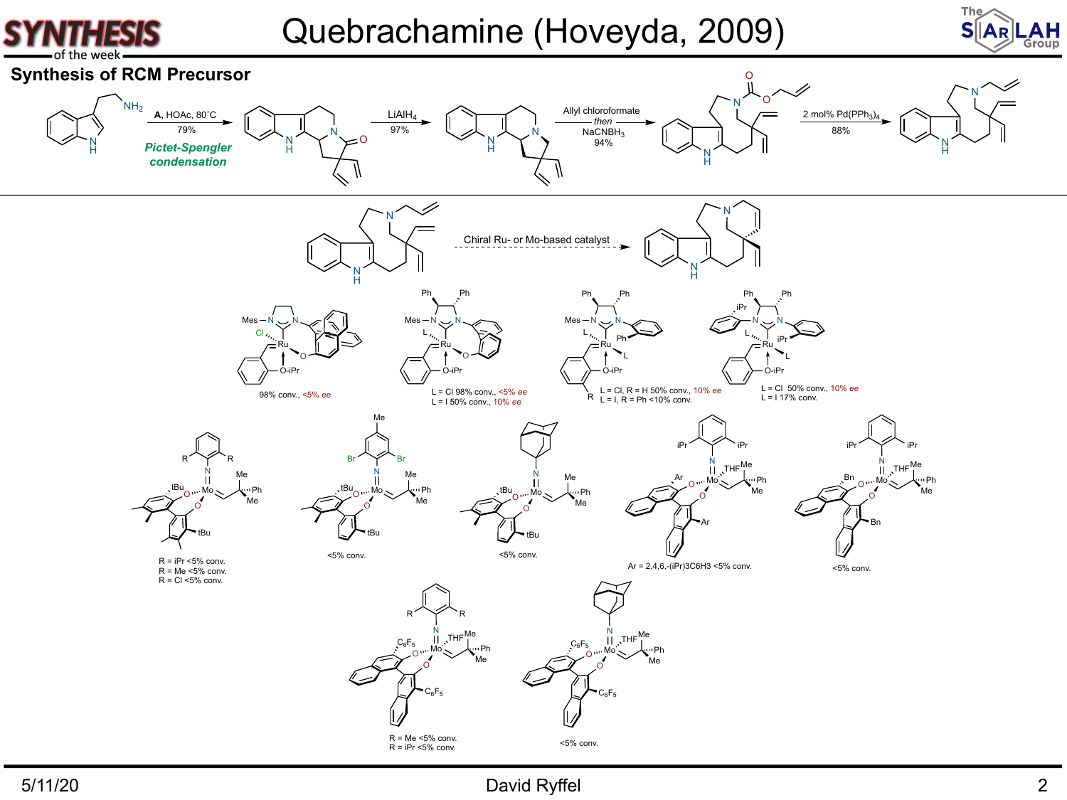

Quebrachamine (Hoveyda, 2009)



### N H N Chiral Ru- or Mo-based catalyst N H N **Synthesis of RCM Precursor** N H NH2 **A,** HOAc, 80˚C N H N O 79% N H N Allyl chloroformate *then* NaCNBH<sub>3</sub> 94% N H N O O 2 mol%  $Pd(PPh<sub>3</sub>)$ N H N 88%  $LiAlH<sub>4</sub>$ 97% *Pictet-Spengler condensation* Ru N N O Cl O-iPr Mes Ru  $N \sim N$ O L O-iPr Mes Ph Ph Ru  $N \sim N$ L L O-iPr Mes Ph Ph  $\begin{array}{ccc} \mathsf{Ph} & \xrightarrow{\mathsf{R}_{\mathsf{N}_{\mathsf{r}}}} \mathsf{Ph} \end{array}$ N N L L O-iPr Ph Ph iPr iPr  $R_{\text{L}} = I, R = Ph < 10\%$  conv. N tBu<sub>ow</sub>Mo \ \ Ph O O R R Me Me tBu N Mo O O Br Br Me Me  $tBu$ <sub>o w</sub> Mo  $\sim$   $\lambda$  Ph tBu Me N Mo O  $tBu$ <sub>O</sub>  $M_0 \sim$  Ph Me Me tBu N Ar <sub>Aw</sub>Mo AwPh O O Me Me Ar iPr Y iPr THE Me and the state of the state of the state of the state of the state of the state of the state of the state of the state of the state of the state of the state of the state of the state of the state of the state of the Mo O O Me Me Bn <sub>O w</sub> Mo S<sub>tru</sub>Ph Bn iPr Y iPr N Mo O O Me Me  $C_6F_5$   $\left| \right|$   $\mathcal{N}$ <sup>THF</sup>  $\mathtt{C_6F_5}$ R R  $THF$ <sup>Me</sup> Mo O O Me Me  $C_6F_5$   $W_2$   $W_3$   $W_4$   $P_5$  $C_6F_5$ THF L = Cl 98% conv., <5% *ee* L = I 50% conv., 10% *ee* L = Cl, R = H 50% conv., 10% *ee* L = Cl 50% conv., 10% *ee*  $L = 117%$  conv.  $R = iPr < 5%$  conv. R = Me <5% conv. R = Cl <5% conv. Ar = 2,4,6,-(iPr)3C6H3 <5% conv.  $R = Me < 5%$  conv. 98% conv., <5% *ee* <5% conv. <5% conv. <5% conv. <5% conv.

### 5/11/20 David Ryffel 2

 $R = iPr < 5%$  conv.